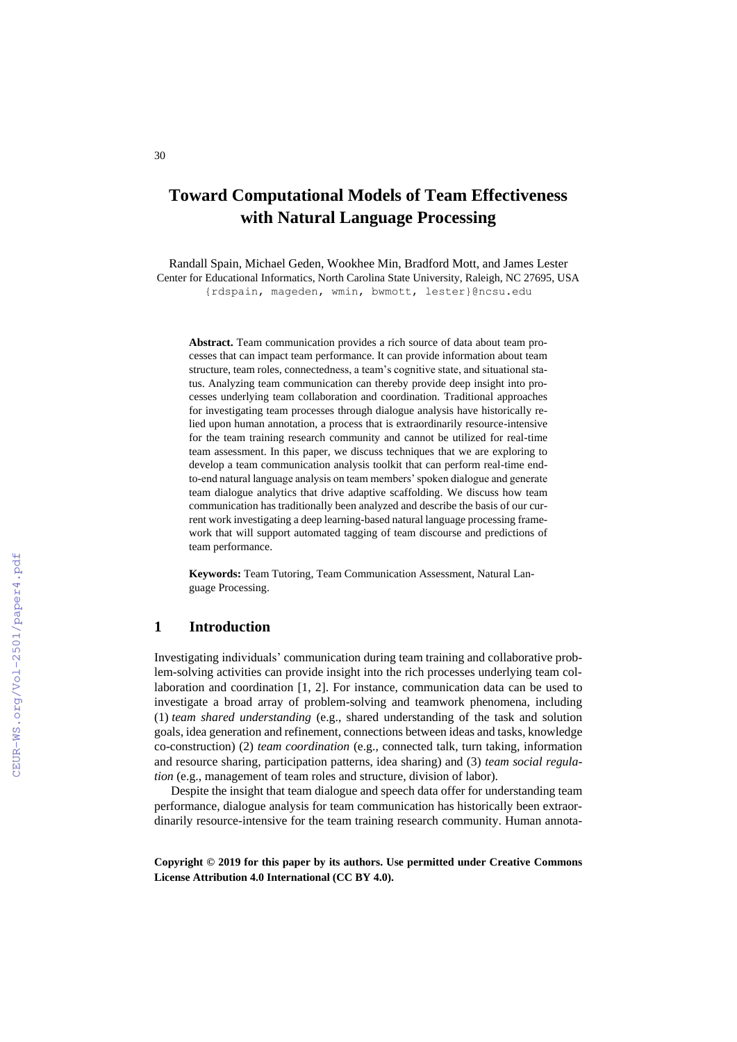# **Toward Computational Models of Team Effectiveness with Natural Language Processing**

Randall Spain, Michael Geden, Wookhee Min, Bradford Mott, and James Lester Center for Educational Informatics, North Carolina State University, Raleigh, NC 27695, USA {rdspain, mageden, wmin, bwmott, lester}@ncsu.edu

**Abstract.** Team communication provides a rich source of data about team processes that can impact team performance. It can provide information about team structure, team roles, connectedness, a team's cognitive state, and situational status. Analyzing team communication can thereby provide deep insight into processes underlying team collaboration and coordination. Traditional approaches for investigating team processes through dialogue analysis have historically relied upon human annotation, a process that is extraordinarily resource-intensive for the team training research community and cannot be utilized for real-time team assessment. In this paper, we discuss techniques that we are exploring to develop a team communication analysis toolkit that can perform real-time endto-end natural language analysis on team members' spoken dialogue and generate team dialogue analytics that drive adaptive scaffolding. We discuss how team communication has traditionally been analyzed and describe the basis of our current work investigating a deep learning-based natural language processing framework that will support automated tagging of team discourse and predictions of team performance.

**Keywords:** Team Tutoring, Team Communication Assessment, Natural Language Processing.

### **1 Introduction**

Investigating individuals' communication during team training and collaborative problem-solving activities can provide insight into the rich processes underlying team collaboration and coordination [1, 2]. For instance, communication data can be used to investigate a broad array of problem-solving and teamwork phenomena, including (1) *team shared understanding* (e.g., shared understanding of the task and solution goals, idea generation and refinement, connections between ideas and tasks, knowledge co-construction) (2) *team coordination* (e.g., connected talk, turn taking, information and resource sharing, participation patterns, idea sharing) and (3) *team social regulation* (e.g., management of team roles and structure, division of labor).

Despite the insight that team dialogue and speech data offer for understanding team performance, dialogue analysis for team communication has historically been extraordinarily resource-intensive for the team training research community. Human annota-

**Copyright © 2019 for this paper by its authors. Use permitted under Creative Commons License Attribution 4.0 International (CC BY 4.0).**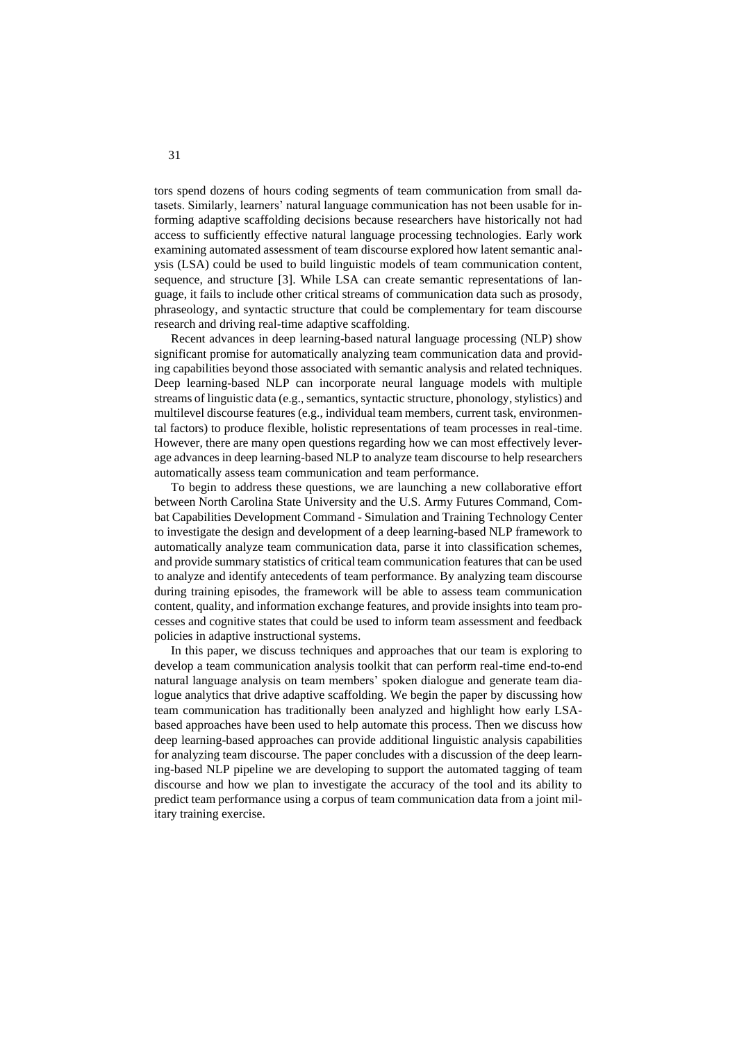tors spend dozens of hours coding segments of team communication from small datasets. Similarly, learners' natural language communication has not been usable for informing adaptive scaffolding decisions because researchers have historically not had access to sufficiently effective natural language processing technologies. Early work examining automated assessment of team discourse explored how latent semantic analysis (LSA) could be used to build linguistic models of team communication content, sequence, and structure [3]. While LSA can create semantic representations of language, it fails to include other critical streams of communication data such as prosody, phraseology, and syntactic structure that could be complementary for team discourse research and driving real-time adaptive scaffolding.

Recent advances in deep learning-based natural language processing (NLP) show significant promise for automatically analyzing team communication data and providing capabilities beyond those associated with semantic analysis and related techniques. Deep learning-based NLP can incorporate neural language models with multiple streams of linguistic data (e.g., semantics, syntactic structure, phonology, stylistics) and multilevel discourse features (e.g., individual team members, current task, environmental factors) to produce flexible, holistic representations of team processes in real-time. However, there are many open questions regarding how we can most effectively leverage advances in deep learning-based NLP to analyze team discourse to help researchers automatically assess team communication and team performance.

To begin to address these questions, we are launching a new collaborative effort between North Carolina State University and the U.S. Army Futures Command, Combat Capabilities Development Command - Simulation and Training Technology Center to investigate the design and development of a deep learning-based NLP framework to automatically analyze team communication data, parse it into classification schemes, and provide summary statistics of critical team communication features that can be used to analyze and identify antecedents of team performance. By analyzing team discourse during training episodes, the framework will be able to assess team communication content, quality, and information exchange features, and provide insights into team processes and cognitive states that could be used to inform team assessment and feedback policies in adaptive instructional systems.

In this paper, we discuss techniques and approaches that our team is exploring to develop a team communication analysis toolkit that can perform real-time end-to-end natural language analysis on team members' spoken dialogue and generate team dialogue analytics that drive adaptive scaffolding. We begin the paper by discussing how team communication has traditionally been analyzed and highlight how early LSAbased approaches have been used to help automate this process. Then we discuss how deep learning-based approaches can provide additional linguistic analysis capabilities for analyzing team discourse. The paper concludes with a discussion of the deep learning-based NLP pipeline we are developing to support the automated tagging of team discourse and how we plan to investigate the accuracy of the tool and its ability to predict team performance using a corpus of team communication data from a joint military training exercise.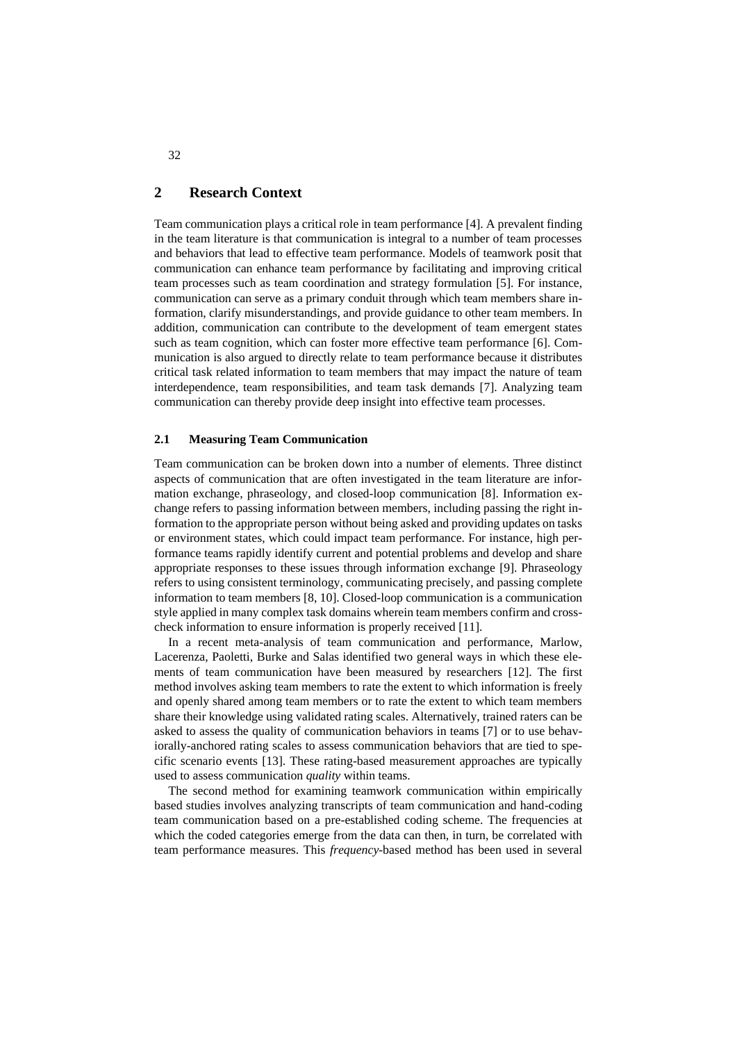# **2 Research Context**

Team communication plays a critical role in team performance [4]. A prevalent finding in the team literature is that communication is integral to a number of team processes and behaviors that lead to effective team performance. Models of teamwork posit that communication can enhance team performance by facilitating and improving critical team processes such as team coordination and strategy formulation [5]. For instance, communication can serve as a primary conduit through which team members share information, clarify misunderstandings, and provide guidance to other team members. In addition, communication can contribute to the development of team emergent states such as team cognition, which can foster more effective team performance [6]. Communication is also argued to directly relate to team performance because it distributes critical task related information to team members that may impact the nature of team interdependence, team responsibilities, and team task demands [7]. Analyzing team communication can thereby provide deep insight into effective team processes.

## **2.1 Measuring Team Communication**

Team communication can be broken down into a number of elements. Three distinct aspects of communication that are often investigated in the team literature are information exchange, phraseology, and closed-loop communication [8]. Information exchange refers to passing information between members, including passing the right information to the appropriate person without being asked and providing updates on tasks or environment states, which could impact team performance. For instance, high performance teams rapidly identify current and potential problems and develop and share appropriate responses to these issues through information exchange [9]. Phraseology refers to using consistent terminology, communicating precisely, and passing complete information to team members [8, 10]. Closed-loop communication is a communication style applied in many complex task domains wherein team members confirm and crosscheck information to ensure information is properly received [11].

In a recent meta-analysis of team communication and performance, Marlow, Lacerenza, Paoletti, Burke and Salas identified two general ways in which these elements of team communication have been measured by researchers [12]. The first method involves asking team members to rate the extent to which information is freely and openly shared among team members or to rate the extent to which team members share their knowledge using validated rating scales. Alternatively, trained raters can be asked to assess the quality of communication behaviors in teams [7] or to use behaviorally-anchored rating scales to assess communication behaviors that are tied to specific scenario events [13]. These rating-based measurement approaches are typically used to assess communication *quality* within teams.

The second method for examining teamwork communication within empirically based studies involves analyzing transcripts of team communication and hand-coding team communication based on a pre-established coding scheme. The frequencies at which the coded categories emerge from the data can then, in turn, be correlated with team performance measures. This *frequency*-based method has been used in several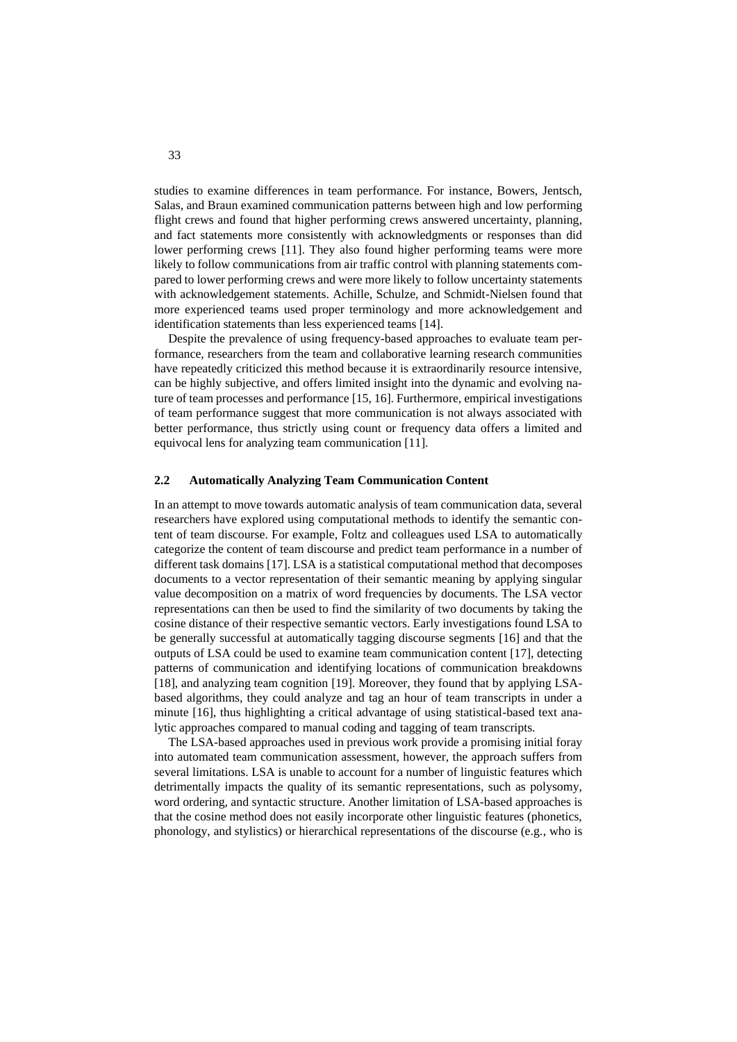studies to examine differences in team performance. For instance, Bowers, Jentsch, Salas, and Braun examined communication patterns between high and low performing flight crews and found that higher performing crews answered uncertainty, planning, and fact statements more consistently with acknowledgments or responses than did lower performing crews [11]. They also found higher performing teams were more likely to follow communications from air traffic control with planning statements compared to lower performing crews and were more likely to follow uncertainty statements with acknowledgement statements. Achille, Schulze, and Schmidt-Nielsen found that more experienced teams used proper terminology and more acknowledgement and identification statements than less experienced teams [14].

Despite the prevalence of using frequency-based approaches to evaluate team performance, researchers from the team and collaborative learning research communities have repeatedly criticized this method because it is extraordinarily resource intensive, can be highly subjective, and offers limited insight into the dynamic and evolving nature of team processes and performance [15, 16]. Furthermore, empirical investigations of team performance suggest that more communication is not always associated with better performance, thus strictly using count or frequency data offers a limited and equivocal lens for analyzing team communication [11].

### **2.2 Automatically Analyzing Team Communication Content**

In an attempt to move towards automatic analysis of team communication data, several researchers have explored using computational methods to identify the semantic content of team discourse. For example, Foltz and colleagues used LSA to automatically categorize the content of team discourse and predict team performance in a number of different task domains [17]. LSA is a statistical computational method that decomposes documents to a vector representation of their semantic meaning by applying singular value decomposition on a matrix of word frequencies by documents. The LSA vector representations can then be used to find the similarity of two documents by taking the cosine distance of their respective semantic vectors. Early investigations found LSA to be generally successful at automatically tagging discourse segments [16] and that the outputs of LSA could be used to examine team communication content [17], detecting patterns of communication and identifying locations of communication breakdowns [18], and analyzing team cognition [19]. Moreover, they found that by applying LSAbased algorithms, they could analyze and tag an hour of team transcripts in under a minute [16], thus highlighting a critical advantage of using statistical-based text analytic approaches compared to manual coding and tagging of team transcripts.

The LSA-based approaches used in previous work provide a promising initial foray into automated team communication assessment, however, the approach suffers from several limitations. LSA is unable to account for a number of linguistic features which detrimentally impacts the quality of its semantic representations, such as polysomy, word ordering, and syntactic structure. Another limitation of LSA-based approaches is that the cosine method does not easily incorporate other linguistic features (phonetics, phonology, and stylistics) or hierarchical representations of the discourse (e.g., who is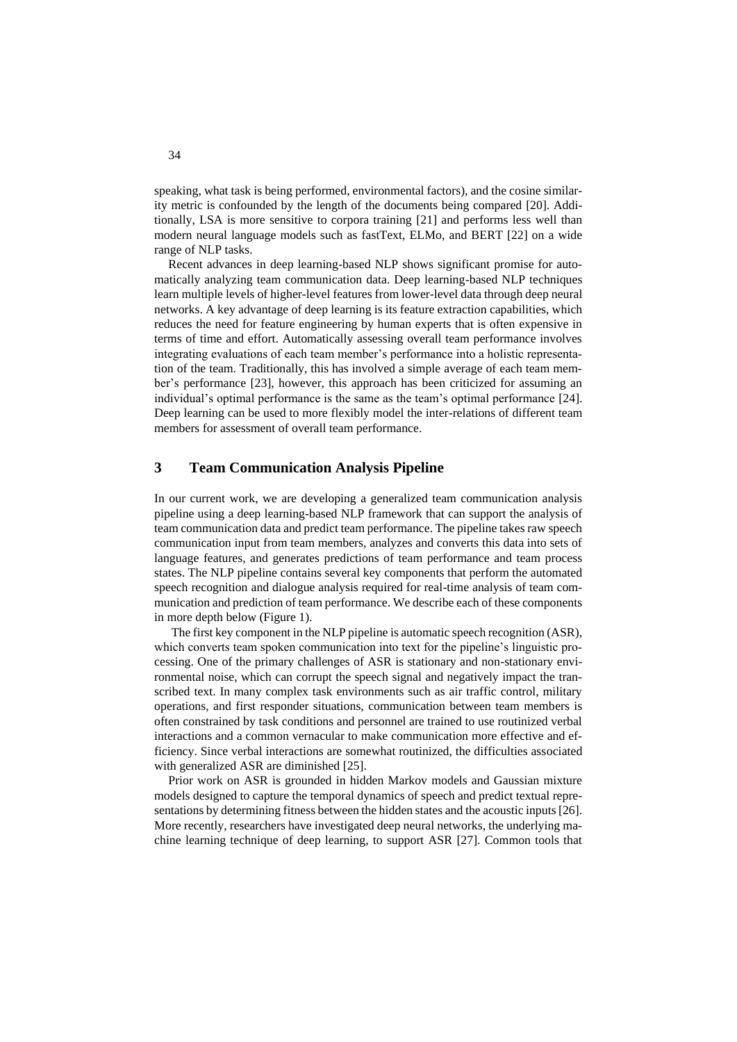speaking, what task is being performed, environmental factors), and the cosine similarity metric is confounded by the length of the documents being compared [20]. Additionally, LSA is more sensitive to corpora training [21] and performs less well than modern neural language models such as fastText, ELMo, and BERT [22] on a wide range of NLP tasks.

Recent advances in deep learning-based NLP shows significant promise for automatically analyzing team communication data. Deep learning-based NLP techniques learn multiple levels of higher-level features from lower-level data through deep neural networks. A key advantage of deep learning is its feature extraction capabilities, which reduces the need for feature engineering by human experts that is often expensive in terms of time and effort. Automatically assessing overall team performance involves integrating evaluations of each team member's performance into a holistic representation of the team. Traditionally, this has involved a simple average of each team member's performance [23], however, this approach has been criticized for assuming an individual's optimal performance is the same as the team's optimal performance [24]. Deep learning can be used to more flexibly model the inter-relations of different team members for assessment of overall team performance.

# **3 Team Communication Analysis Pipeline**

In our current work, we are developing a generalized team communication analysis pipeline using a deep learning-based NLP framework that can support the analysis of team communication data and predict team performance. The pipeline takes raw speech communication input from team members, analyzes and converts this data into sets of language features, and generates predictions of team performance and team process states. The NLP pipeline contains several key components that perform the automated speech recognition and dialogue analysis required for real-time analysis of team communication and prediction of team performance. We describe each of these components in more depth below (Figure 1).

The first key component in the NLP pipeline is automatic speech recognition (ASR), which converts team spoken communication into text for the pipeline's linguistic processing. One of the primary challenges of ASR is stationary and non-stationary environmental noise, which can corrupt the speech signal and negatively impact the transcribed text. In many complex task environments such as air traffic control, military operations, and first responder situations, communication between team members is often constrained by task conditions and personnel are trained to use routinized verbal interactions and a common vernacular to make communication more effective and efficiency. Since verbal interactions are somewhat routinized, the difficulties associated with generalized ASR are diminished [25].

Prior work on ASR is grounded in hidden Markov models and Gaussian mixture models designed to capture the temporal dynamics of speech and predict textual representations by determining fitness between the hidden states and the acoustic inputs [26]. More recently, researchers have investigated deep neural networks, the underlying machine learning technique of deep learning, to support ASR [27]. Common tools that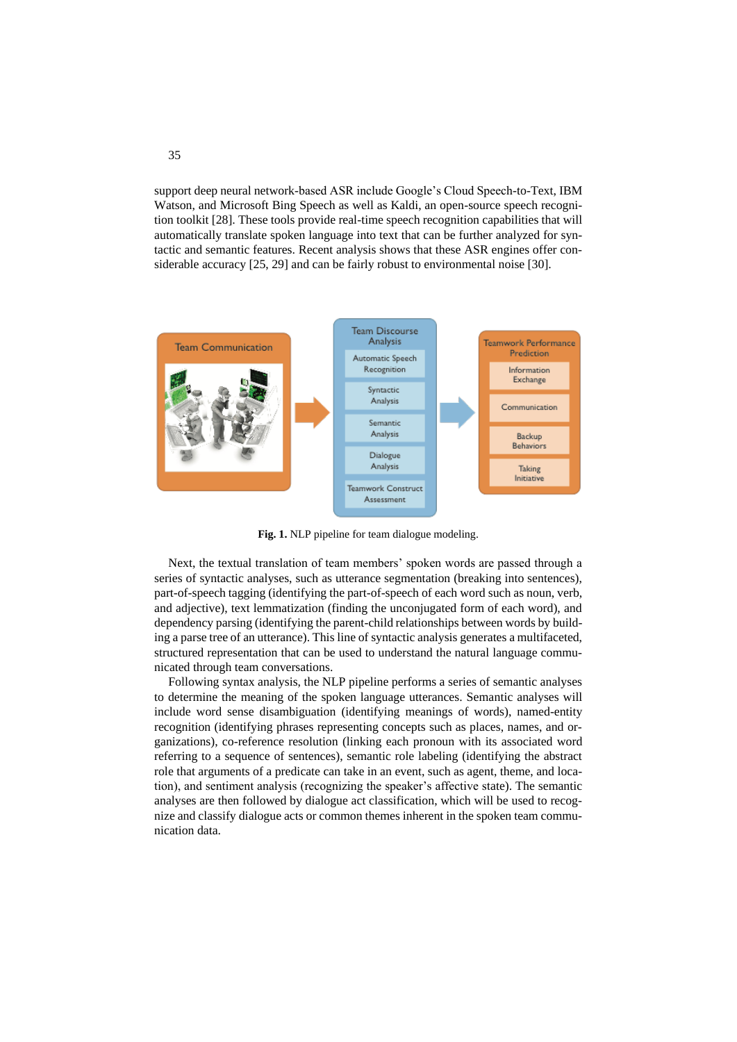support deep neural network-based ASR include Google's Cloud Speech-to-Text, IBM Watson, and Microsoft Bing Speech as well as Kaldi, an open-source speech recognition toolkit [28]. These tools provide real-time speech recognition capabilities that will automatically translate spoken language into text that can be further analyzed for syntactic and semantic features. Recent analysis shows that these ASR engines offer considerable accuracy [25, 29] and can be fairly robust to environmental noise [30].



**Fig. 1.** NLP pipeline for team dialogue modeling.

Next, the textual translation of team members' spoken words are passed through a series of syntactic analyses, such as utterance segmentation (breaking into sentences), part-of-speech tagging (identifying the part-of-speech of each word such as noun, verb, and adjective), text lemmatization (finding the unconjugated form of each word), and dependency parsing (identifying the parent-child relationships between words by building a parse tree of an utterance). This line of syntactic analysis generates a multifaceted, structured representation that can be used to understand the natural language communicated through team conversations.

Following syntax analysis, the NLP pipeline performs a series of semantic analyses to determine the meaning of the spoken language utterances. Semantic analyses will include word sense disambiguation (identifying meanings of words), named-entity recognition (identifying phrases representing concepts such as places, names, and organizations), co-reference resolution (linking each pronoun with its associated word referring to a sequence of sentences), semantic role labeling (identifying the abstract role that arguments of a predicate can take in an event, such as agent, theme, and location), and sentiment analysis (recognizing the speaker's affective state). The semantic analyses are then followed by dialogue act classification, which will be used to recognize and classify dialogue acts or common themes inherent in the spoken team communication data.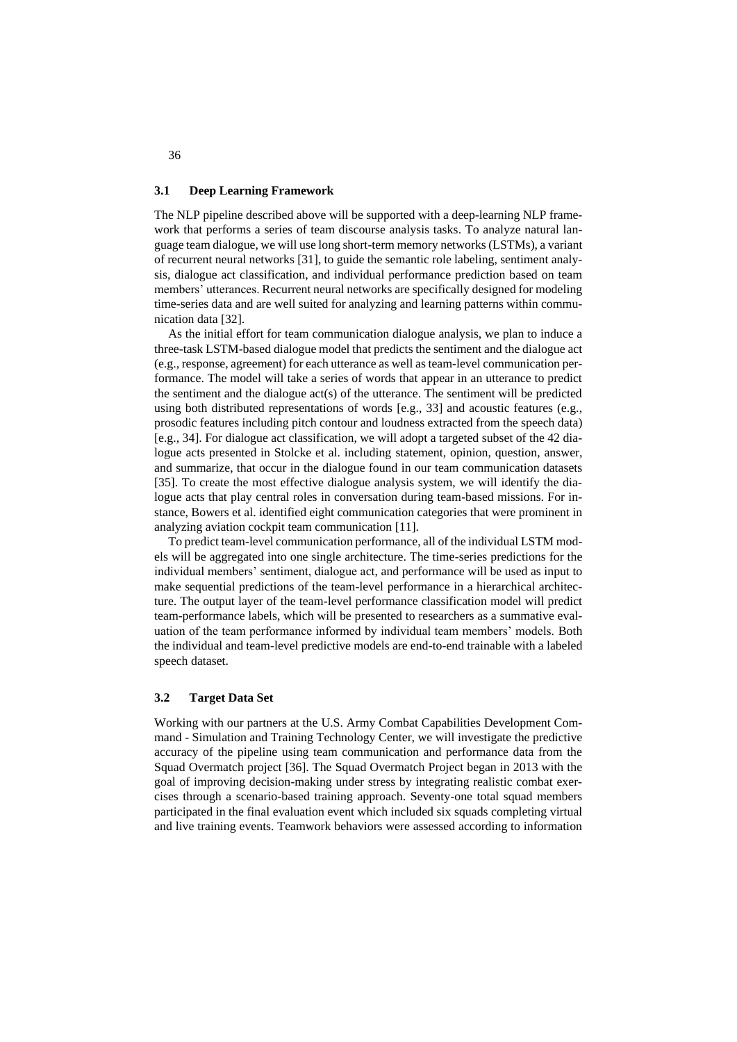#### **3.1 Deep Learning Framework**

The NLP pipeline described above will be supported with a deep-learning NLP framework that performs a series of team discourse analysis tasks. To analyze natural language team dialogue, we will use long short-term memory networks (LSTMs), a variant of recurrent neural networks [31], to guide the semantic role labeling, sentiment analysis, dialogue act classification, and individual performance prediction based on team members' utterances. Recurrent neural networks are specifically designed for modeling time-series data and are well suited for analyzing and learning patterns within communication data [32].

As the initial effort for team communication dialogue analysis, we plan to induce a three-task LSTM-based dialogue model that predicts the sentiment and the dialogue act (e.g., response, agreement) for each utterance as well as team-level communication performance. The model will take a series of words that appear in an utterance to predict the sentiment and the dialogue act(s) of the utterance. The sentiment will be predicted using both distributed representations of words [e.g., 33] and acoustic features (e.g., prosodic features including pitch contour and loudness extracted from the speech data) [e.g., 34]. For dialogue act classification, we will adopt a targeted subset of the 42 dialogue acts presented in Stolcke et al. including statement, opinion, question, answer, and summarize, that occur in the dialogue found in our team communication datasets [35]. To create the most effective dialogue analysis system, we will identify the dialogue acts that play central roles in conversation during team-based missions. For instance, Bowers et al. identified eight communication categories that were prominent in analyzing aviation cockpit team communication [11].

To predict team-level communication performance, all of the individual LSTM models will be aggregated into one single architecture. The time-series predictions for the individual members' sentiment, dialogue act, and performance will be used as input to make sequential predictions of the team-level performance in a hierarchical architecture. The output layer of the team-level performance classification model will predict team-performance labels, which will be presented to researchers as a summative evaluation of the team performance informed by individual team members' models. Both the individual and team-level predictive models are end-to-end trainable with a labeled speech dataset.

#### **3.2 Target Data Set**

Working with our partners at the U.S. Army Combat Capabilities Development Command - Simulation and Training Technology Center, we will investigate the predictive accuracy of the pipeline using team communication and performance data from the Squad Overmatch project [36]. The Squad Overmatch Project began in 2013 with the goal of improving decision-making under stress by integrating realistic combat exercises through a scenario-based training approach. Seventy-one total squad members participated in the final evaluation event which included six squads completing virtual and live training events. Teamwork behaviors were assessed according to information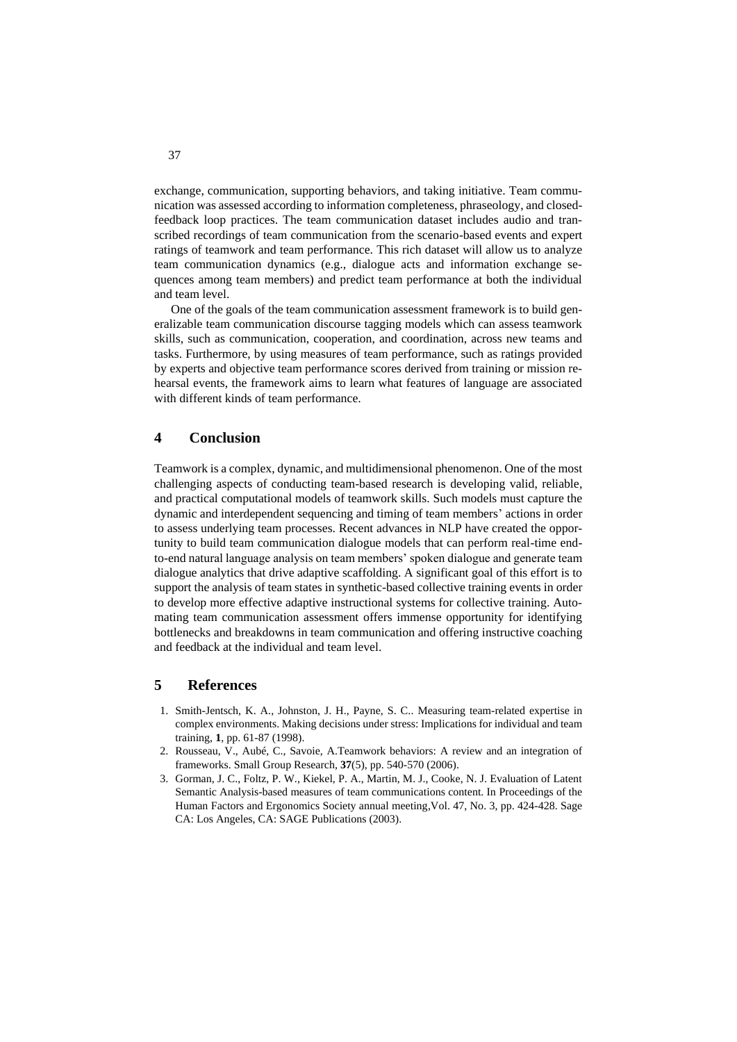exchange, communication, supporting behaviors, and taking initiative. Team communication was assessed according to information completeness, phraseology, and closedfeedback loop practices. The team communication dataset includes audio and transcribed recordings of team communication from the scenario-based events and expert ratings of teamwork and team performance. This rich dataset will allow us to analyze team communication dynamics (e.g., dialogue acts and information exchange sequences among team members) and predict team performance at both the individual and team level.

One of the goals of the team communication assessment framework is to build generalizable team communication discourse tagging models which can assess teamwork skills, such as communication, cooperation, and coordination, across new teams and tasks. Furthermore, by using measures of team performance, such as ratings provided by experts and objective team performance scores derived from training or mission rehearsal events, the framework aims to learn what features of language are associated with different kinds of team performance.

## **4 Conclusion**

Teamwork is a complex, dynamic, and multidimensional phenomenon. One of the most challenging aspects of conducting team-based research is developing valid, reliable, and practical computational models of teamwork skills. Such models must capture the dynamic and interdependent sequencing and timing of team members' actions in order to assess underlying team processes. Recent advances in NLP have created the opportunity to build team communication dialogue models that can perform real-time endto-end natural language analysis on team members' spoken dialogue and generate team dialogue analytics that drive adaptive scaffolding. A significant goal of this effort is to support the analysis of team states in synthetic-based collective training events in order to develop more effective adaptive instructional systems for collective training. Automating team communication assessment offers immense opportunity for identifying bottlenecks and breakdowns in team communication and offering instructive coaching and feedback at the individual and team level.

# **5 References**

- 1. Smith-Jentsch, K. A., Johnston, J. H., Payne, S. C.. Measuring team-related expertise in complex environments. Making decisions under stress: Implications for individual and team training, **1**, pp. 61-87 (1998).
- 2. Rousseau, V., Aubé, C., Savoie, A.Teamwork behaviors: A review and an integration of frameworks. Small Group Research*,* **37**(5), pp. 540-570 (2006).
- 3. Gorman, J. C., Foltz, P. W., Kiekel, P. A., Martin, M. J., Cooke, N. J. Evaluation of Latent Semantic Analysis-based measures of team communications content. In Proceedings of the Human Factors and Ergonomics Society annual meeting,Vol. 47, No. 3, pp. 424-428. Sage CA: Los Angeles, CA: SAGE Publications (2003).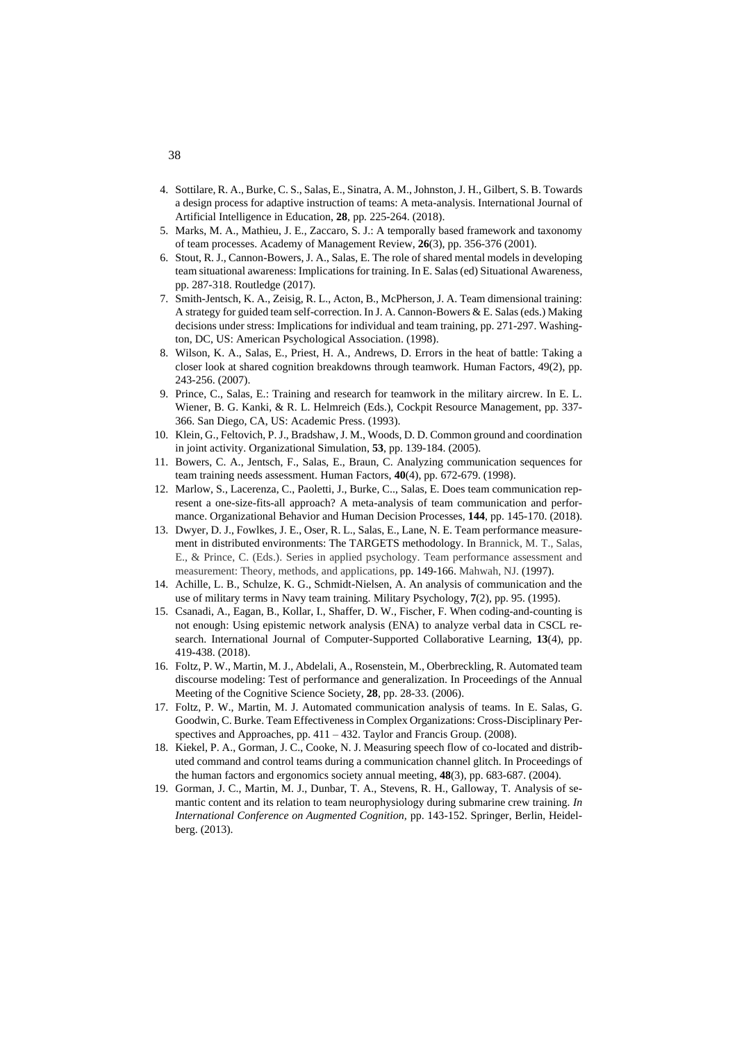- 4. Sottilare, R. A., Burke, C. S., Salas, E., Sinatra, A. M., Johnston, J. H., Gilbert, S. B. Towards a design process for adaptive instruction of teams: A meta-analysis. International Journal of Artificial Intelligence in Education, **28***,* pp*.* 225-264. (2018).
- 5. Marks, M. A., Mathieu, J. E., Zaccaro, S. J.: A temporally based framework and taxonomy of team processes. Academy of Management Review, **26**(3), pp. 356-376 (2001).
- 6. Stout, R. J., Cannon-Bowers, J. A., Salas, E. The role of shared mental models in developing team situational awareness: Implications for training. In E. Salas (ed) Situational Awareness*,*  pp. 287-318. Routledge (2017).
- 7. Smith-Jentsch, K. A., Zeisig, R. L., Acton, B., McPherson, J. A. Team dimensional training: A strategy for guided team self-correction. In J. A. Cannon-Bowers & E. Salas (eds.) Making decisions under stress: Implications for individual and team training, pp. 271-297. Washington, DC, US: American Psychological Association. (1998).
- 8. Wilson, K. A., Salas, E., Priest, H. A., Andrews, D. Errors in the heat of battle: Taking a closer look at shared cognition breakdowns through teamwork. Human Factors, 49(2), pp. 243-256. (2007).
- 9. Prince, C., Salas, E.: Training and research for teamwork in the military aircrew. In E. L. Wiener, B. G. Kanki, & R. L. Helmreich (Eds.), Cockpit Resource Management, pp. 337- 366. San Diego, CA, US: Academic Press. (1993).
- 10. Klein, G., Feltovich, P. J., Bradshaw, J. M., Woods, D. D. Common ground and coordination in joint activity. Organizational Simulation, **53**, pp. 139-184. (2005).
- 11. Bowers, C. A., Jentsch, F., Salas, E., Braun, C. Analyzing communication sequences for team training needs assessment. Human Factors, **40**(4), pp. 672-679. (1998).
- 12. Marlow, S., Lacerenza, C., Paoletti, J., Burke, C.., Salas, E. Does team communication represent a one-size-fits-all approach? A meta-analysis of team communication and performance. Organizational Behavior and Human Decision Processes, **144**, pp. 145-170. (2018).
- 13. Dwyer, D. J., Fowlkes, J. E., Oser, R. L., Salas, E., Lane, N. E. Team performance measurement in distributed environments: The TARGETS methodology. In Brannick, M. T., Salas, E., & Prince, C. (Eds.). Series in applied psychology. Team performance assessment and measurement: Theory, methods, and applications*,* pp. 149-166. Mahwah, NJ. (1997).
- 14. Achille, L. B., Schulze, K. G., Schmidt-Nielsen, A. An analysis of communication and the use of military terms in Navy team training. Military Psychology, **7**(2), pp. 95. (1995).
- 15. Csanadi, A., Eagan, B., Kollar, I., Shaffer, D. W., Fischer, F. When coding-and-counting is not enough: Using epistemic network analysis (ENA) to analyze verbal data in CSCL research. International Journal of Computer-Supported Collaborative Learning, **13**(4), pp. 419-438. (2018).
- 16. Foltz, P. W., Martin, M. J., Abdelali, A., Rosenstein, M., Oberbreckling, R. Automated team discourse modeling: Test of performance and generalization. In Proceedings of the Annual Meeting of the Cognitive Science Society, **28**, pp. 28-33. (2006).
- 17. Foltz, P. W., Martin, M. J. Automated communication analysis of teams. In E. Salas, G. Goodwin, C. Burke. Team Effectiveness in Complex Organizations: Cross-Disciplinary Perspectives and Approaches*,* pp. 411 – 432. Taylor and Francis Group. (2008).
- 18. Kiekel, P. A., Gorman, J. C., Cooke, N. J. Measuring speech flow of co-located and distributed command and control teams during a communication channel glitch. In Proceedings of the human factors and ergonomics society annual meeting, **48**(3), pp. 683-687. (2004).
- 19. Gorman, J. C., Martin, M. J., Dunbar, T. A., Stevens, R. H., Galloway, T. Analysis of semantic content and its relation to team neurophysiology during submarine crew training. *In International Conference on Augmented Cognition,* pp. 143-152. Springer, Berlin, Heidelberg. (2013).